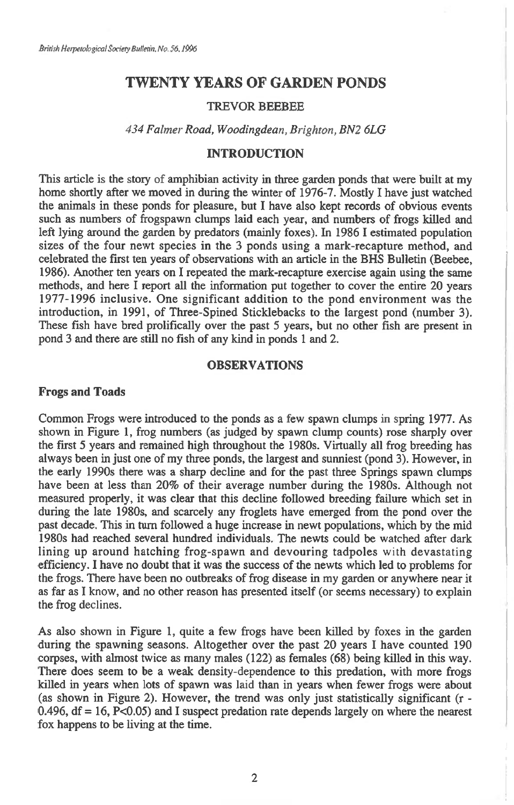# **TWENTY YEARS OF GARDEN PONDS**

#### TREVOR BEEBEE

*434 Fainter Road, Woodingdean, Brighton, BN2 6LG* 

## **INTRODUCTION**

This article is the story of amphibian activity in three garden ponds that were built at my home shortly after we moved in during the winter of 1976-7. Mostly I have just watched the animals in these ponds for pleasure, but I have also kept records of obvious events such as numbers of frogspawn clumps laid each year, and numbers of frogs killed and left lying around the garden by predators (mainly foxes). In 1986 I estimated population sizes of the four newt species in the 3 ponds using a mark-recapture method, and celebrated the first ten years of observations with an article in the BHS Bulletin (Beebee, 1986). Another ten years on I repeated the mark-recapture exercise again using the same methods, and here I report all the information put together to cover the entire 20 years 1977-1996 inclusive. One significant addition to the pond environment was the introduction, in 1991, of Three-Spined Sticklebacks to the largest pond (number 3). These fish have bred prolifically over the past 5 years, but no other fish are present in pond 3 and there are still no fish of any kind in ponds 1 and 2.

#### **OBSERVATIONS**

#### **Frogs and Toads**

Common Frogs were introduced to the ponds as a few spawn clumps in spring 1977. As shown in Figure 1, frog numbers (as judged by spawn clump counts) rose sharply over the first 5 years and remained high throughout the 1980s. Virtually all frog breeding has always been in just one of my three ponds, the largest and sunniest (pond 3). However, in the early 1990s there was a sharp decline and for the past three Springs spawn clumps have been at less than 20% of their average number during the 1980s. Although not measured properly, it was clear that this decline followed breeding failure which set in during the late 1980s, and scarcely any froglets have emerged from the pond over the past decade. This in turn followed a huge increase in newt populations, which by the mid 1980s had reached several hundred individuals. The newts could be watched after dark lining up around hatching frog-spawn and devouring tadpoles with devastating efficiency. I have no doubt that it was the success of the newts which led to problems for the frogs. There have been no outbreaks of frog disease in my garden or anywhere near it as far as I know, and no other reason has presented itself (or seems necessary) to explain the frog declines.

As also shown in Figure 1, quite a few frogs have been killed by foxes in the garden during the spawning seasons. Altogether over the past 20 years I have counted 190 corpses, with almost twice as many males (122) as females (68) being killed in this way. There does seem to be a weak density-dependence to this predation, with more frogs killed in years when lots of spawn was laid than in years when fewer frogs were about (as shown in Figure 2). However, the trend was only just statistically significant (r -  $0.496$ ,  $df = 16$ ,  $P < 0.05$ ) and I suspect predation rate depends largely on where the nearest fox happens to be living at the time.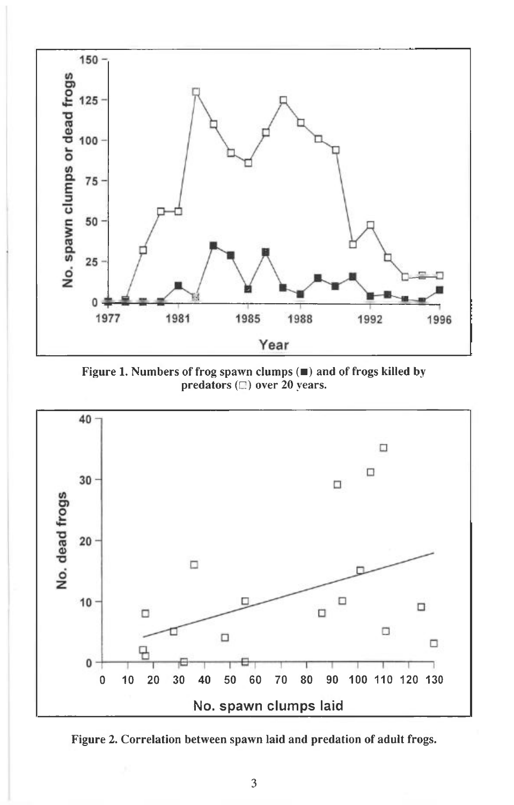

**Figure 1. Numbers of frog spawn clumps (**■**) and of frogs killed by predators** (E) **over 20 years.** 



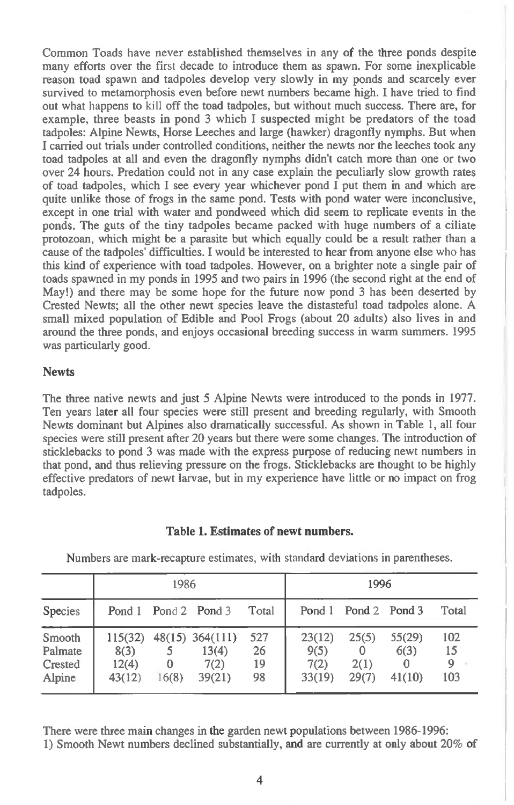Common Toads have never established themselves in any of the three ponds despite many efforts over the first decade to introduce them as spawn. For some inexplicable reason toad spawn and tadpoles develop very slowly in my ponds and scarcely ever survived to metamorphosis even before newt numbers became high. I have tried to find out what happens to kill off the toad tadpoles, but without much success. There are, for example, three beasts in pond 3 which I suspected might be predators of the toad tadpoles: Alpine Newts, Horse Leeches and large (hawker) dragonfly nymphs. But when **I** carried out trials under controlled conditions, neither the newts nor the leeches took any toad tadpoles at all and even the dragonfly nymphs didn't catch more than one or two over 24 hours. Predation could not in any case explain the peculiarly slow growth rates of toad tadpoles, which **I** see every year whichever pond I put them in and which are quite unlike those of frogs in the same pond. Tests with pond water were inconclusive, except in one trial with water and pondweed which did seem to replicate events in the ponds. The guts of the tiny tadpoles became packed with huge numbers of a ciliate protozoan, which might be a parasite but which equally could be a result rather than a cause of the tadpoles' difficulties. **I** would be interested to hear from anyone else who has this kind of experience with toad tadpoles. However, on a brighter note a single pair of toads spawned in my ponds in 1995 and two pairs in 1996 (the second right at the end of May!) and there may be some hope for the future now pond 3 has been deserted by Crested Newts; all the other newt species leave the distasteful toad tadpoles alone. A small mixed population of Edible and Pool Frogs (about 20 adults) also lives in and around the three ponds, and enjoys occasional breeding success in warm summers. 1995 was particularly good.

### **Newts**

The three native newts and just 5 Alpine Newts were introduced to the ponds in 1977. Ten years later all four species were still present and breeding regularly, with Smooth Newts dominant but Alpines also dramatically successful. As shown in Table 1, all four species were still present after 20 years but there were some changes. The introduction of sticklebacks to pond 3 was made with the express purpose of reducing newt numbers in that pond, and thus relieving pressure on the frogs. Sticklebacks are thought to be highly effective predators of newt larvae, but in my experience have little or no impact on frog tadpoles.

|                                        | 1986                               |            |                                              |                       | 1996                             |                             |                          |                                 |
|----------------------------------------|------------------------------------|------------|----------------------------------------------|-----------------------|----------------------------------|-----------------------------|--------------------------|---------------------------------|
| Species                                |                                    |            | Pond 1 Pond 2 Pond 3                         | Total                 |                                  | Pond 1 Pond 2 Pond 3        |                          | Total                           |
| Smooth<br>Palmate<br>Crested<br>Alpine | 115(32)<br>8(3)<br>12(4)<br>43(12) | 0<br>16(8) | $48(15)$ 364(111)<br>13(4)<br>7(2)<br>39(21) | 527<br>26<br>19<br>98 | 23(12)<br>9(5)<br>7(2)<br>33(19) | 25(5)<br>0<br>2(1)<br>29(7) | 55(29)<br>6(3)<br>41(10) | 102<br>15<br>$\mathbf Q$<br>103 |

**Table 1. Estimates of newt numbers.** 

Numbers are mark-recapture estimates, with standard deviations in parentheses.

There were three main changes in the garden newt populations between 1986-1996: 1) Smooth Newt numbers declined substantially, and are currently at only about 20% of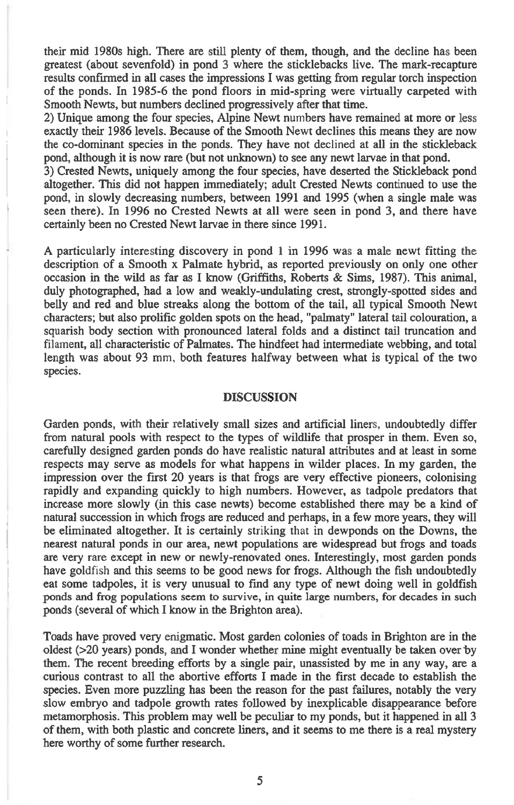**their mid 1980s high. There are still plenty of them, though, and the decline has been greatest (about sevenfold) in pond 3 where the sticklebacks live. The mark-recapture results confirmed in all cases the impressions I was getting from regular torch inspection of the ponds. In 1985-6 the pond floors in mid-spring were virtually carpeted with Smooth Newts, but numbers declined progressively after that time.** 

**2) Unique among the four species, Alpine Newt numbers have remained at more or less exactly their 1986 levels. Because of the Smooth Newt declines this means they are now the co-dominant species in the ponds. They have not declined at all in the stickleback pond, although it is now rare (but not unknown) to see any newt larvae in that pond.** 

**3) Crested Newts, uniquely among the four species, have deserted the Stickleback pond altogether. This did not happen immediately; adult Crested Newts continued to use the pond, in slowly decreasing numbers, between 1991 and 1995 (when a single male was seen there). In 1996 no Crested Newts at all** *were* **seen in pond 3, and there have certainly been no Crested Newt larvae in there since 1991.** 

**A particularly interesting discovery in pond 1 in 1996 was a male newt fitting the description of a Smooth x Palmate hybrid, as reported previously on only one other occasion in the wild as far as I know (Griffiths, Roberts & Sims, 1987). This animal, duly photographed, had a low and weakly-undulating crest, strongly-spotted sides and belly and red and blue streaks along the bottom of the tail, all typical Smooth Newt characters; but also prolific golden spots on the head, "palmaty" lateral tail colouration, a squarish body section with pronounced lateral folds and a distinct tail truncation and**  filament, **all characteristic of Palmates. The hindfeet had intermediate webbing, and total length was about 93 mm, both features halfway between what is typical of the two species.** 

#### **DISCUSSION**

**Garden ponds, with their relatively small sizes and artificial liners, undoubtedly differ from natural pools with respect to the types of wildlife that prosper in them. Even so, carefully designed garden ponds do have realistic natural attributes and at least in some respects may serve as models for what happens in wilder places. In my garden, the impression over the first 20 years is that frogs are very effective pioneers, colonising rapidly and expanding quickly to high numbers. However, as tadpole predators that increase more slowly (in this case newts) become established there may be a kind of natural succession in which frogs are reduced and perhaps, in a few more years, they will be eliminated altogether. It is certainly** striking that **in dewponds on the Downs, the nearest natural ponds in our area, newt populations are widespread but frogs and toads are** very rare **except in new or newly-renovated ones. Interestingly, most garden ponds have goldfish and this seems to be good news for frogs. Although the fish undoubtedly eat some tadpoles, it is very unusual to find any type of newt doing well in goldfish ponds and frog populations seem to survive, in quite large numbers, for decades in such ponds (several of which I know in the Brighton area).** 

**Toads have proved very enigmatic. Most garden colonies of toads in Brighton are in the oldest (>20 years) ponds, and I wonder whether mine might eventually be taken over by them. The recent breeding efforts by a single pair, unassisted by me in any way, are a curious contrast to all the abortive efforts I made in the first decade to establish the species. Even more puzzling has been the reason for the past failures, notably the very slow embryo and tadpole growth rates followed by inexplicable disappearance before metamorphosis. This problem may well be peculiar to my ponds, but it happened in all 3 of them, with both plastic and concrete liners, and it seems to me there is a real mystery here worthy of some further research.**